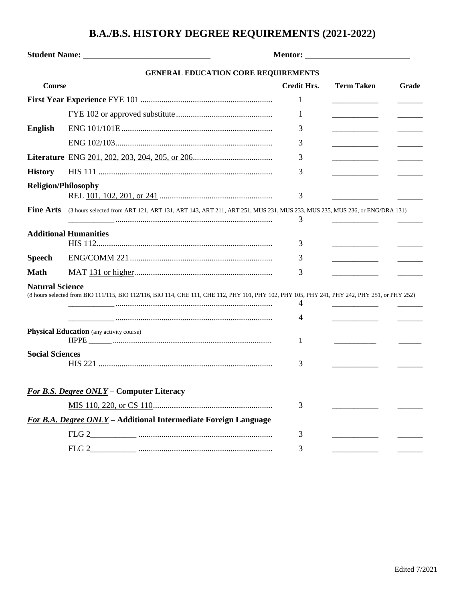## **B.A./B.S. HISTORY DEGREE REQUIREMENTS (2021-2022)**

|                            | <b>GENERAL EDUCATION CORE REQUIREMENTS</b>                                                                                                    |                    |                   |       |
|----------------------------|-----------------------------------------------------------------------------------------------------------------------------------------------|--------------------|-------------------|-------|
| <b>Course</b>              |                                                                                                                                               | <b>Credit Hrs.</b> | <b>Term Taken</b> | Grade |
|                            |                                                                                                                                               | 1                  |                   |       |
|                            |                                                                                                                                               | 1                  |                   |       |
| English                    |                                                                                                                                               | 3                  |                   |       |
|                            |                                                                                                                                               | 3                  |                   |       |
|                            |                                                                                                                                               | 3                  |                   |       |
| <b>History</b>             |                                                                                                                                               | 3                  |                   |       |
| <b>Religion/Philosophy</b> |                                                                                                                                               | 3                  |                   |       |
| <b>Fine Arts</b>           | (3 hours selected from ART 121, ART 131, ART 143, ART 211, ART 251, MUS 231, MUS 233, MUS 235, MUS 236, or ENG/DRA 131)                       | 3                  |                   |       |
|                            | <b>Additional Humanities</b>                                                                                                                  | 3                  |                   |       |
| <b>Speech</b>              |                                                                                                                                               | 3                  |                   |       |
| <b>Math</b>                |                                                                                                                                               | 3                  |                   |       |
| <b>Natural Science</b>     | (8 hours selected from BIO 111/115, BIO 112/116, BIO 114, CHE 111, CHE 112, PHY 101, PHY 102, PHY 105, PHY 241, PHY 242, PHY 251, or PHY 252) | 4<br>4             |                   |       |
|                            | <b>Physical Education</b> (any activity course)                                                                                               | 1                  |                   |       |
| <b>Social Sciences</b>     |                                                                                                                                               | 3                  |                   |       |
|                            | For B.S. Degree ONLY - Computer Literacy                                                                                                      |                    |                   |       |
|                            |                                                                                                                                               | 3                  |                   |       |
|                            | For B.A. Degree ONLY - Additional Intermediate Foreign Language                                                                               |                    |                   |       |
|                            |                                                                                                                                               | 3                  |                   |       |
|                            | FLG <sub>2</sub>                                                                                                                              | 3                  |                   |       |